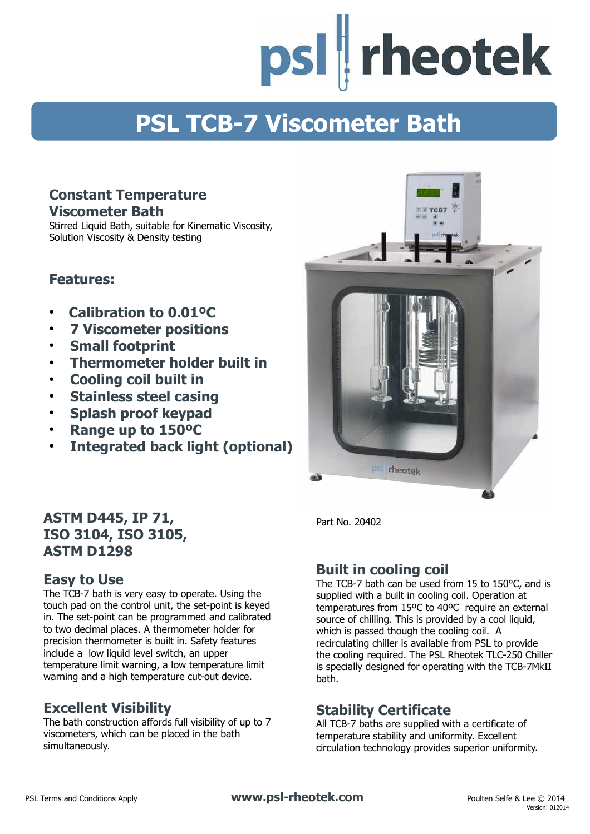psl | rheotek

# **PSL TCB-7 Viscometer Bath**

#### **Constant Temperature Viscometer Bath**

Stirred Liquid Bath, suitable for Kinematic Viscosity, Solution Viscosity & Density testing

### **Features:**

- **Calibration to 0.01ºC**
- ● **7 Viscometer positions**
- **Small footprint**
- **Thermometer holder built in**
- **Cooling coil built in**
- ● **Stainless steel casing**
- ● **Splash proof keypad**
- **Range up to 150ºC**
- ● **Integrated back light (optional)**



### **Easy to Use**

The TCB-7 bath is very easy to operate. Using the touch pad on the control unit, the set-point is keyed in. The set-point can be programmed and calibrated to two decimal places. A thermometer holder for precision thermometer is built in. Safety features include a low liquid level switch, an upper temperature limit warning, a low temperature limit warning and a high temperature cut-out device.

### **Excellent Visibility**

The bath construction affords full visibility of up to 7 viscometers, which can be placed in the bath simultaneously.



Part No. 20402

### **Built in cooling coil**

The TCB-7 bath can be used from 15 to 150°C, and is supplied with a built in cooling coil. Operation at temperatures from 15ºC to 40ºC require an external source of chilling. This is provided by a cool liquid, which is passed though the cooling coil. A recirculating chiller is available from PSL to provide the cooling required. The PSL Rheotek TLC-250 Chiller is specially designed for operating with the TCB-7MkII bath.

### **Stability Certificate**

All TCB-7 baths are supplied with a certificate of temperature stability and uniformity. Excellent circulation technology provides superior uniformity.